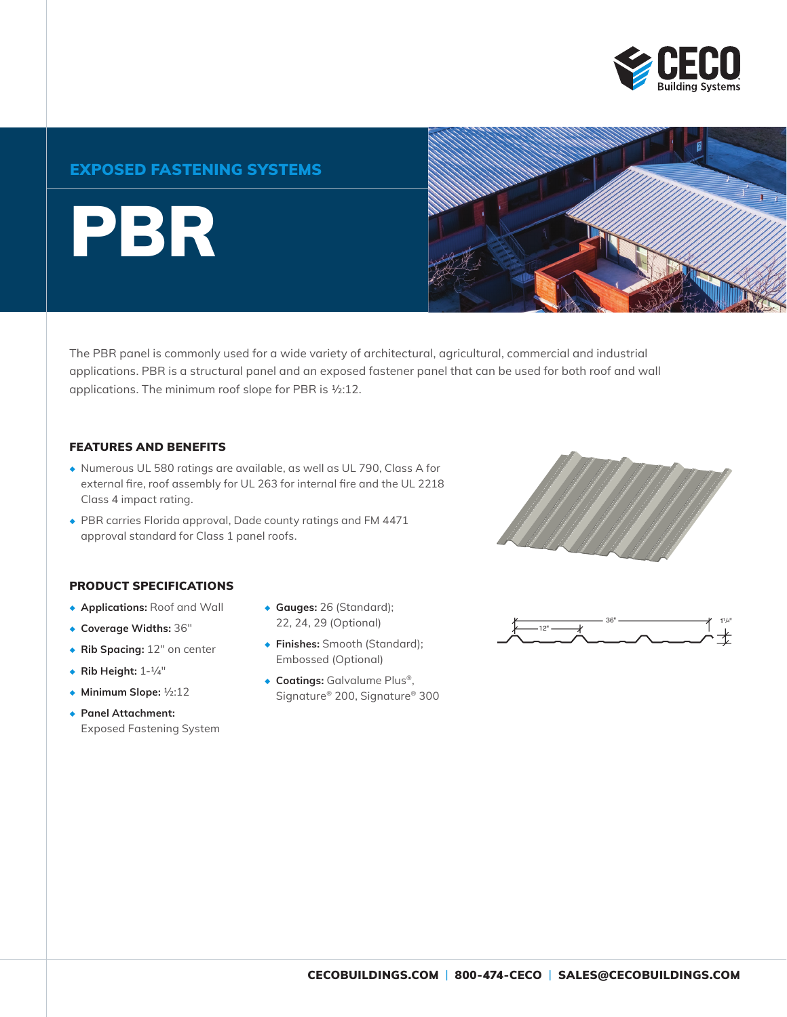

### EXPOSED FASTENING SYSTEMS

PBR



The PBR panel is commonly used for a wide variety of architectural, agricultural, commercial and industrial applications. PBR is a structural panel and an exposed fastener panel that can be used for both roof and wall applications. The minimum roof slope for PBR is ½:12.

#### FEATURES AND BENEFITS

- ◆ Numerous UL 580 ratings are available, as well as UL 790, Class A for external fire, roof assembly for UL 263 for internal fire and the UL 2218 Class 4 impact rating.
- ◆ PBR carries Florida approval, Dade county ratings and FM 4471 approval standard for Class 1 panel roofs.



#### PRODUCT SPECIFICATIONS

- ◆ **Applications:** Roof and Wall
- ◆ **Coverage Widths:** 36"
- ◆ **Rib Spacing:** 12" on center
- ◆ **Rib Height:** 1-1/4"
- ◆ **Minimum Slope:** ½:12
- ◆ **Panel Attachment:** Exposed Fastening System
- ◆ **Gauges:** 26 (Standard); 22, 24, 29 (Optional)
- ◆ **Finishes:** Smooth (Standard); Embossed (Optional)
- ◆ **Coatings:** Galvalume Plus®, Signature® 200, Signature® 300